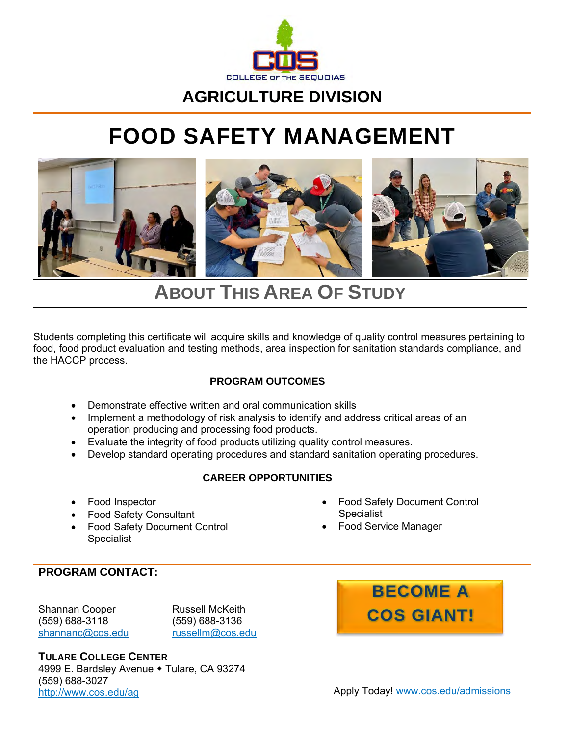

### **AGRICULTURE DIVISION**

# **FOOD SAFETY MANAGEMENT**



## **ABOUT THIS AREA OF STUDY**

Students completing this certificate will acquire skills and knowledge of quality control measures pertaining to food, food product evaluation and testing methods, area inspection for sanitation standards compliance, and the HACCP process.

#### **PROGRAM OUTCOMES**

- Demonstrate effective written and oral communication skills
- Implement a methodology of risk analysis to identify and address critical areas of an operation producing and processing food products.
- Evaluate the integrity of food products utilizing quality control measures.
- Develop standard operating procedures and standard sanitation operating procedures.

#### **CAREER OPPORTUNITIES**

- Food Inspector
- Food Safety Consultant
- Food Safety Document Control Specialist
- Food Safety Document Control **Specialist**
- Food Service Manager

#### **PROGRAM CONTACT:**

Shannan Cooper (559) 688-3118 [shannanc@cos.edu](mailto:shannanc@cos.edu)

Russell McKeith (559) 688-3136 [russellm@cos.edu](mailto:russellm@cos.edu)

**TULARE COLLEGE CENTER** 4999 E. Bardsley Avenue • Tulare, CA 93274 (559) 688-3027 <http://www.cos.edu/ag> http://[www.cos.edu/admissions](http://www.cos.edu/admissions)